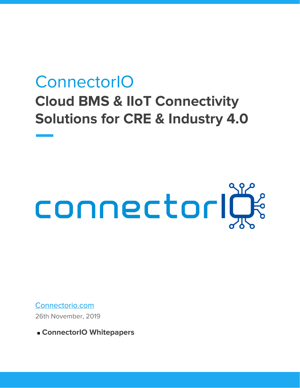# **ConnectorIO Cloud BMS & IIoT Connectivity Solutions for CRE & Industry 4.0**

# connectorige

[Connectorio.com](https://connectorio.com/) 26th November, 2019

■ ConnectorIO Whitepapers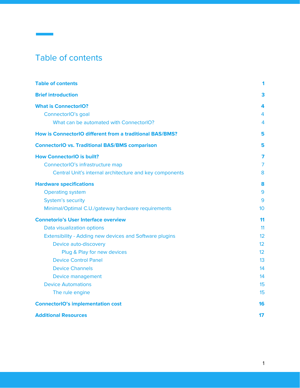# <span id="page-1-0"></span>Table of contents

| <b>Table of contents</b>                                       | 1               |
|----------------------------------------------------------------|-----------------|
| <b>Brief introduction</b>                                      | 3               |
| <b>What is ConnectorIO?</b>                                    | 4               |
| ConnectorIO's goal                                             | 4               |
| What can be automated with ConnectorIO?                        | 4               |
| How is ConnectorIO different from a traditional BAS/BMS?       | 5               |
| <b>ConnectorIO vs. Traditional BAS/BMS comparison</b>          | 5               |
| <b>How ConnectorIO is built?</b>                               | 7               |
| ConnectorIO's infrastructure map                               | $\overline{7}$  |
| Central Unit's internal architecture and key components        | 8               |
| <b>Hardware specifications</b>                                 | 8               |
| <b>Operating system</b>                                        | 9               |
| <b>System's security</b>                                       | 9               |
| Minimal/Optimal C.U./gateway hardware requirements             | 10 <sup>1</sup> |
| <b>Connetorio's User Interface overview</b>                    | 11              |
| Data visualization options                                     | 11              |
| <b>Extensibility - Adding new devices and Software plugins</b> | 12              |
| Device auto-discovery                                          | 12 <sup>°</sup> |
| Plug & Play for new devices                                    | 12              |
| <b>Device Control Panel</b>                                    | 13              |
| <b>Device Channels</b>                                         | 14              |
| Device management                                              | 14              |
| <b>Device Automations</b>                                      | 15              |
| The rule engine                                                | 15              |
| <b>ConnectorIO's implementation cost</b>                       | 16              |
| <b>Additional Resources</b>                                    | 17              |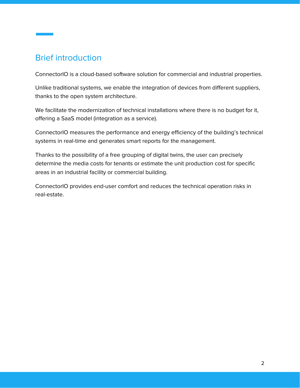# <span id="page-2-0"></span>Brief introduction

ConnectorIO is a cloud-based software solution for commercial and industrial properties.

Unlike traditional systems, we enable the integration of devices from different suppliers, thanks to the open system architecture.

We facilitate the modernization of technical installations where there is no budget for it, offering a SaaS model (integration as a service).

ConnectorIO measures the performance and energy efficiency of the building's technical systems in real-time and generates smart reports for the management.

Thanks to the possibility of a free grouping of digital twins, the user can precisely determine the media costs for tenants or estimate the unit production cost for specific areas in an industrial facility or commercial building.

ConnectorIO provides end-user comfort and reduces the technical operation risks in real-estate.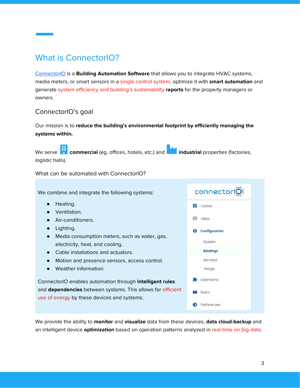# <span id="page-3-0"></span>What is ConnectorIO?

[ConnectorIO](https://connectorio.com/) is a **Building Automation Software** that allows you to integrate HVAC systems, media meters, or smart sensors in a single control system, optimize it with **smart automation** and generate system efficiency and building's sustainability **reports** for the property managers or owners.

### <span id="page-3-1"></span>ConnectorIO's goal

Our mission is to **reduce the building's environmental footprint by efficiently managing the systems within.**

We serve **the commercial** (eg. offices, hotels, etc.) and **industrial** properties (factories, logistic halls).

<span id="page-3-2"></span>What can be automated with ConnectorIO?

We combine and integrate the following systems:

- Heating.
- Ventilation.
- Air-conditioners.
- Lighting.
- Media consumption meters, such as water, gas, electricity, heat, and cooling.
- Cable installations and actuators.
- Motion and presence sensors, access control.
- Weather information.

ConnectorIO enables automation through **intelligent rules** and **dependencies** between systems. This allows for efficient use of energy by these devices and systems.

We provide the ability to **monitor** and **visualize** data from these devices, **data cloud-backup** and an intelligent device **optimization** based on operation patterns analyzed in real-time on big-data.

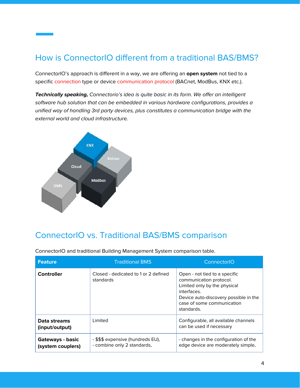# <span id="page-4-0"></span>How is ConnectorIO different from a traditional BAS/BMS?

ConnectorIO's approach is different in a way, we are offering an **open system** not tied to a specific connection type or device communication protocol (BACnet, ModBus, KNX etc.).

**Technically speaking,** Connectorio's idea is quite basic in its form. We offer an intelligent software hub solution that can be embedded in various hardware configurations, provides a unified way of handling 3rd party devices, plus constitutes a communication bridge with the external world and cloud infrastructure.



# <span id="page-4-1"></span>ConnectorIO vs. Traditional BAS/BMS comparison

| <b>Feature</b>                                                                                            | <b>Traditional BMS</b>                            | ConnectorIO                                                                                                                                                                                  |  |
|-----------------------------------------------------------------------------------------------------------|---------------------------------------------------|----------------------------------------------------------------------------------------------------------------------------------------------------------------------------------------------|--|
| <b>Controller</b>                                                                                         | Closed - dedicated to 1 or 2 defined<br>standards | Open - not tied to a specific<br>communication protocol.<br>Limited only by the physical<br>interfaces.<br>Device auto-discovery possible in the<br>case of some communication<br>standards. |  |
| Data streams<br>(input/output)                                                                            | I imited                                          | Configurable, all available channels<br>can be used if necessary                                                                                                                             |  |
| - \$\$\$ expensive (hundreds EU),<br>Gateways - basic<br>- combine only 2 standards,<br>(system couplers) |                                                   | - changes in the configuration of the<br>edge device are moderately simple,                                                                                                                  |  |

ConnectorIO and traditional Building Management System comparison table.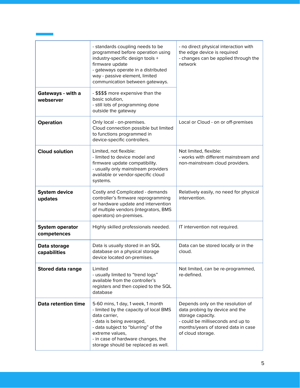|                                       | - standards coupling needs to be<br>programmed before operation using<br>industry-specific design tools +<br>firmware update<br>- gateways operate in a distributed<br>way - passive element, limited<br>communication between gateways.                         | - no direct physical interaction with<br>the edge device is required<br>- changes can be applied through the<br>network                                                                   |  |
|---------------------------------------|------------------------------------------------------------------------------------------------------------------------------------------------------------------------------------------------------------------------------------------------------------------|-------------------------------------------------------------------------------------------------------------------------------------------------------------------------------------------|--|
| Gateways - with a<br>webserver        | - \$\$\$\$ more expensive than the<br>basic solution,<br>- still lots of programming done<br>outside the gateway                                                                                                                                                 |                                                                                                                                                                                           |  |
| Operation                             | Only local - on-premises.<br>Cloud connection possible but limited<br>to functions programmed in<br>device-specific controllers.                                                                                                                                 | Local or Cloud - on or off-premises                                                                                                                                                       |  |
| <b>Cloud solution</b>                 | Limited, not flexible:<br>- limited to device model and<br>firmware update compatibility.<br>- usually only mainstream providers<br>available or vendor-specific cloud<br>systems.                                                                               | Not limited, flexible:<br>- works with different mainstream and<br>non-mainstream cloud providers.                                                                                        |  |
| <b>System device</b><br>updates       | Costly and Complicated - demands<br>controller's firmware reprogramming<br>or hardware update and intervention<br>of multiple vendors (integrators, BMS<br>operators) on-premises.                                                                               | Relatively easily, no need for physical<br>intervention.                                                                                                                                  |  |
| <b>System operator</b><br>competences | Highly skilled professionals needed.                                                                                                                                                                                                                             | IT intervention not required.                                                                                                                                                             |  |
| Data storage<br>capabilities          | Data is usually stored in an SQL<br>database on a physical storage<br>device located on-premises.                                                                                                                                                                | Data can be stored locally or in the<br>cloud.                                                                                                                                            |  |
| <b>Stored data range</b>              | Limited<br>Not limited, can be re-programmed,<br>re-defined.<br>- usually limited to "trend logs"<br>available from the controller's<br>registers and then copied to the SQL<br>database                                                                         |                                                                                                                                                                                           |  |
| Data retention time                   | 5-60 mins, 1 day, 1 week, 1 month<br>- limited by the capacity of local BMS<br>data carrier,<br>- data is being averaged,<br>- data subject to "blurring" of the<br>extreme values,<br>- in case of hardware changes, the<br>storage should be replaced as well. | Depends only on the resolution of<br>data probing by device and the<br>storage capacity.<br>- could be milliseconds and up to<br>months/years of stored data in case<br>of cloud storage. |  |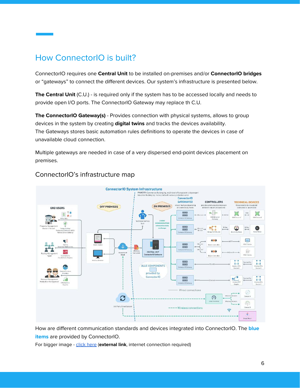# <span id="page-6-0"></span>How ConnectorIO is built?

ConnectorIO requires one **Central Unit** to be installed on-premises and/or **ConnectorIO bridges** or "gateways" to connect the different devices. Our system's infrastructure is presented below.

**The Central Unit** (C.U.) - is required only if the system has to be accessed locally and needs to provide open I/O ports. The ConnectorIO Gateway may replace th C.U.

**The ConnectorIO Gateway(s)** - Provides connection with physical systems, allows to group devices in the system by creating **digital twins** and tracks the devices availability. The Gateways stores basic automation rules definitions to operate the devices in case of unavailable cloud connection.

Multiple gateways are needed in case of a very dispersed end-point devices placement on premises.



# <span id="page-6-1"></span>ConnectorIO's infrastructure map

How are different communication standards and devices integrated into ConnectorIO. The **blue items** are provided by ConnectorIO.

For bigger image - [click here](https://connectorio.com/wp-content/uploads/ConnectorIO-network-structure-big-opt-scaled.png) (external link, internet connection required)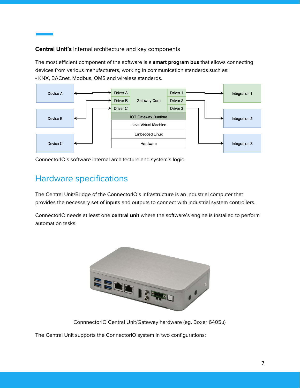### <span id="page-7-0"></span>**Central Unit's** internal architecture and key components

The most efficient component of the software is a **smart program bus** that allows connecting devices from various manufacturers, working in communication standards such as: - KNX, BACnet, Modbus, OMS and wireless standards.



<span id="page-7-1"></span>ConnectorIO's software internal architecture and system's logic.

# Hardware specifications

The Central Unit/Bridge of the ConnectorIO's infrastructure is an industrial computer that provides the necessary set of inputs and outputs to connect with industrial system controllers.

ConnectorIO needs at least one **central unit** where the software's engine is installed to perform automation tasks.



ConnnectorIO Central Unit/Gateway hardware (eg. Boxer 6405u)

The Central Unit supports the ConnectorIO system in two configurations: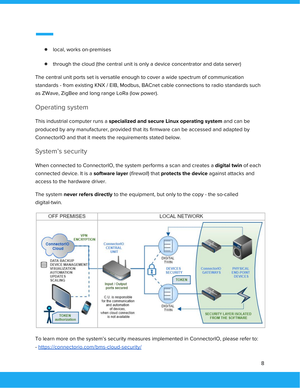- local, works on-premises
- through the cloud (the central unit is only a device concentrator and data server)

The central unit ports set is versatile enough to cover a wide spectrum of communication standards - from existing KNX / EIB, Modbus, BACnet cable connections to radio standards such as ZWave, ZigBee and long range LoRa (low power).

# <span id="page-8-0"></span>Operating system

This industrial computer runs a **specialized and secure Linux operating system** and can be produced by any manufacturer, provided that its firmware can be accessed and adapted by ConnectorIO and that it meets the requirements stated below.

# <span id="page-8-1"></span>System's security

When connected to ConnectorIO, the system performs a scan and creates a **digital twin** of each connected device. It is a **software layer** (firewall) that **protects the device** against attacks and access to the hardware driver.

The system **never refers directly** to the equipment, but only to the copy - the so-called digital-twin.



To learn more on the system's security measures implemented in ConnectorIO, please refer to: - <https://connectorio.com/bms-cloud-security/>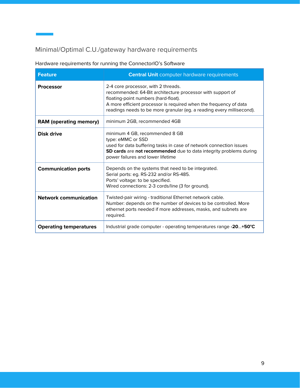# <span id="page-9-0"></span>Minimal/Optimal C.U./gateway hardware requirements

# Hardware requirements for running the ConnectorIO's Software

| <b>Feature</b>                | <b>Central Unit computer hardware requirements</b>                                                                                                                                                                                                                                      |
|-------------------------------|-----------------------------------------------------------------------------------------------------------------------------------------------------------------------------------------------------------------------------------------------------------------------------------------|
| <b>Processor</b>              | 2-4 core processor, with 2 threads.<br>recommended: 64-Bit architecture processor with support of<br>floating-point numbers (hard-float).<br>A more efficient processor is required when the frequency of data<br>readings needs to be more granular (eg. a reading every millisecond). |
| <b>RAM (operating memory)</b> | minimum 2GB, recommended 4GB                                                                                                                                                                                                                                                            |
| Disk drive                    | minimum 4 GB, recommended 8 GB<br>type: eMMC or SSD<br>used for data buffering tasks in case of network connection issues<br>SD cards are not recommended due to data integrity problems during<br>power failures and lower lifetime                                                    |
| <b>Communication ports</b>    | Depends on the systems that need to be integrated.<br>Serial ports: eg. RS-232 and/or RS-485.<br>Ports' voltage: to be specified.<br>Wired connections: 2-3 cords/line (3 for ground).                                                                                                  |
| <b>Network communication</b>  | Twisted-pair wiring - traditional Ethernet network cable.<br>Number: depends on the number of devices to be controlled. More<br>ethernet ports needed if more addresses, masks, and subnets are<br>required.                                                                            |
| <b>Operating temperatures</b> | Industrial grade computer - operating temperatures range -20+50°C                                                                                                                                                                                                                       |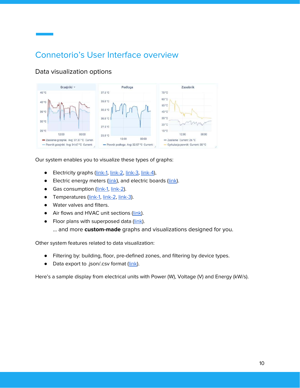# <span id="page-10-0"></span>Connetorio's User Interface overview

# <span id="page-10-1"></span>Data visualization options



Our system enables you to visualize these types of graphs:

- Electricity graphs ([link-1,](https://connectorio.com/wp-content/uploads/connectorio-dashboard-energy-1.png) [link-2](https://connectorio.com/wp-content/uploads/connectorio-dashboard-energy-2.png), [link-3,](https://connectorio.com/wp-content/uploads/connectorio-energy-2.png) [link-4](https://connectorio.com/wp-content/uploads/connectorio-energy-1.png)),
- Electric energy meters [\(link](https://connectorio.com/wp-content/uploads/connectorio-energy-meters.png)), and electric boards [\(link\)](https://connectorio.com/wp-content/uploads/connectorio-meters-visualization.png).
- Gas consumption [\(link-1,](https://connectorio.com/wp-content/uploads/connectorio-gas-graph.png) [link-2\)](https://connectorio.com/wp-content/uploads/connectorio-gas-dashboard-choice.png).
- Temperatures [\(link-1,](https://connectorio.com/wp-content/uploads/connectorio-ventilation-1.png) [link-2](https://connectorio.com/wp-content/uploads/connectorio-ventilation-2.png), [link-3\)](https://connectorio.com/wp-content/uploads/connectorio-ventilation-3.png).
- Water valves and filters.
- Air flows and HVAC unit sections ([link\)](https://connectorio.com/wp-content/uploads/connectorio-ventilation-scheme.png).
- Floor plans with superposed data ([link](https://connectorio.com/wp-content/uploads/connectorio-layout-visualization.png)).
	- … and more **custom-made** graphs and visualizations designed for you.

Other system features related to data visualization:

- Filtering by: building, floor, pre-defined zones, and filtering by device types.
- Data export to .json/.csv format [\(link\)](https://connectorio.com/wp-content/uploads/connectorio-energy-export-data-csv.png).

Here's a sample display from electrical units with Power (W), Voltage (V) and Energy (kW/s).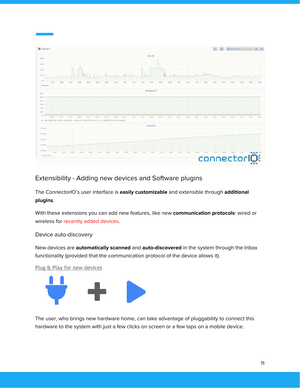

### <span id="page-11-0"></span>Extensibility - Adding new devices and Software plugins

The ConnectorIO's user interface is **easily customizable** and extensible through **additional plugins**.

With these extensions you can add new features, like new **communication protocols**: wired or wireless for recently added devices.

### <span id="page-11-1"></span>Device auto-discovery

New devices are **automatically scanned** and **auto-discovered** in the system through the Inbox functionality (provided that the communication protocol of the device allows it).

<span id="page-11-2"></span>Plug & Play for new devices



The user, who brings new hardware home, can take advantage of pluggability to connect this hardware to the system with just a few clicks on screen or a few taps on a mobile device.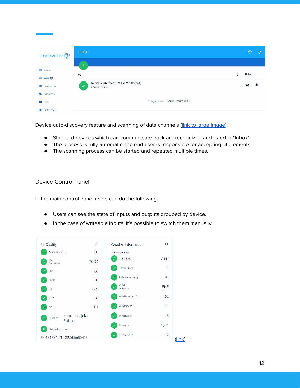| connectorl           | Inbox                                                                     |               | $\mathbb{T}$ | G |
|----------------------|---------------------------------------------------------------------------|---------------|--------------|---|
|                      | 4                                                                         |               |              |   |
| <b>En</b> Control    |                                                                           |               | CLEAR        |   |
| the Inbox            | $\alpha$                                                                  | $\hat{\cdot}$ |              |   |
| Configuration        | Network interface 192.168.2.132 (en1)<br>$\checkmark$<br>BACnet IP bridge |               | Ø            | î |
| Extensions           |                                                                           |               |              |   |
| <b>NO</b> Rules      | Thing not listed? SEARCH FOR THINGS                                       |               |              |   |
| <b>D</b> Preferences |                                                                           |               |              |   |

Device auto-discovery feature and scanning of data channels [\(link to large image\)](https://connectorio.com/wp-content/uploads/connectorio-inbox-functionality.png).

- Standard devices which can communicate back are recognized and listed in "Inbox".
- The process is fully automatic, the end user is responsible for accepting of elements.
- The scanning process can be started and repeated multiple times.

### <span id="page-12-0"></span>Device Control Panel

In the main control panel users can do the following:

- Users can see the state of inputs and outputs grouped by device.
- In the case of writeable inputs, it's possible to switch them manually.

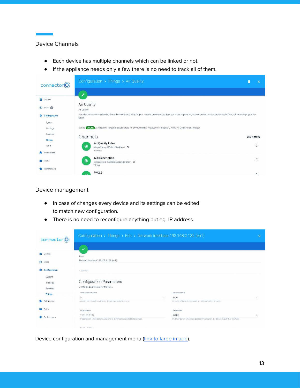### <span id="page-13-0"></span>Device Channels

- Each device has multiple channels which can be linked or not.
- If the appliance needs only a few there is no need to track all of them.



### <span id="page-13-1"></span>Device management

- In case of changes every device and its settings can be edited to match new configuration.
- There is no need to reconfigure anything but eg. IP address.

| Configuration > Things > Edit > Network interface 192.168.2.132 (en1)<br>connectorl |                                                                          |    |                                                                              |   |
|-------------------------------------------------------------------------------------|--------------------------------------------------------------------------|----|------------------------------------------------------------------------------|---|
|                                                                                     |                                                                          |    |                                                                              |   |
| 46<br>Control                                                                       | Name                                                                     |    |                                                                              |   |
| $\bigoplus$<br>Inbox                                                                | Network interface 192.168.2.132 (en1)                                    |    |                                                                              |   |
| Configuration<br>ю.                                                                 | Location                                                                 |    |                                                                              |   |
| System                                                                              |                                                                          |    |                                                                              |   |
| Bindings                                                                            | <b>Configuration Parameters</b>                                          |    |                                                                              |   |
| Services                                                                            | Configure parameters for the thing.                                      |    |                                                                              |   |
| <b>Things</b>                                                                       | Local network number                                                     |    | Device identifier                                                            |   |
|                                                                                     | D.                                                                       | à. | 1339                                                                         |   |
| Extensions                                                                          | Identifier of network to which by default this bridge is bound.          |    | tdentifier of local device which is visible in BACnet network                |   |
| Rules                                                                               | Local address                                                            |    | Port number                                                                  |   |
| Preferences<br>Ð                                                                    | 192.168.2.132                                                            |    | 47808                                                                        | œ |
|                                                                                     | IP address on which communications to system are expected to take place. |    | Port number on which to expect communication. By default 47808 (hex 0xBAC0). |   |
|                                                                                     | Brooklywet soldners                                                      |    |                                                                              |   |

Device configuration and management menu [\(link to large image\)](https://connectorio.com/wp-content/uploads/connectorio-device-management.png).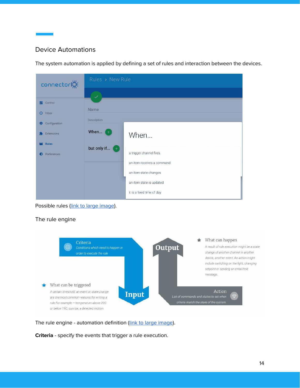# <span id="page-14-0"></span>Device Automations

The system automation is applied by defining a set of rules and interaction between the devices.

| connectorl                  | Rules > New Rule   |                            |  |
|-----------------------------|--------------------|----------------------------|--|
|                             | ✓                  |                            |  |
| <b>E</b> Control            |                    |                            |  |
| <b>Inbox</b><br>$\bigoplus$ | <b>Name</b>        |                            |  |
| Configuration<br>森          | <b>Description</b> |                            |  |
| Extensions                  | When               | When                       |  |
| <b>Rules</b>                | but only if (+)    |                            |  |
| Preferences<br>Ð            |                    | a trigger channel fires    |  |
|                             |                    | an item receives a command |  |
|                             |                    | an item state changes      |  |
|                             |                    | an item state is updated   |  |
|                             |                    | it is a fixed time of day  |  |

Possible rules [\(link to large image\)](https://connectorio.com/wp-content/uploads/connectorio-devices-automation.png).

### <span id="page-14-1"></span>The rule engine



The rule engine - automation definition ([link to large image](https://connectorio.com/wp-content/uploads/Connectorio-Automation-Software-rule-engine-input-output.png)).

**Criteria** - specify the events that trigger a rule execution.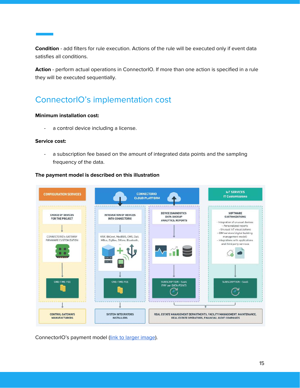**Condition** - add filters for rule execution. Actions of the rule will be executed only if event data satisfies all conditions.

**Action** - perform actual operations in ConnectorIO. If more than one action is specified in a rule they will be executed sequentially.

# <span id="page-15-0"></span>ConnectorIO's implementation cost

### **Minimum installation cost:**

- a control device including a license.

### **Service cost:**

- a subscription fee based on the amount of integrated data points and the sampling frequency of the data.

### **The payment model is described on this illustration**



ConnectorIO's payment model [\(link to larger image](https://connectorio.com/wp-content/uploads/ConnectorIO-monetization-model-big-scaled.png)).